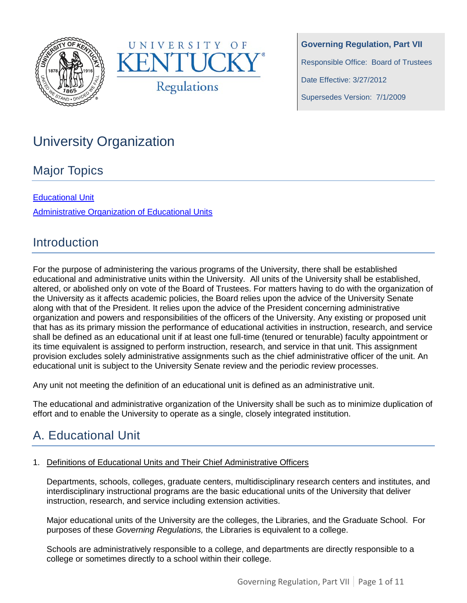



**Governing Regulation, Part VII** Responsible Office: Board of Trustees Date Effective: 3/27/2012

Supersedes Version: 7/1/2009

# University Organization

## Major Topics

### [Educational Unit](#page-0-0)

[Administrative Organization of Educational Units](#page-6-0)

## **Introduction**

For the purpose of administering the various programs of the University, there shall be established educational and administrative units within the University. All units of the University shall be established, altered, or abolished only on vote of the Board of Trustees. For matters having to do with the organization of the University as it affects academic policies, the Board relies upon the advice of the University Senate along with that of the President. It relies upon the advice of the President concerning administrative organization and powers and responsibilities of the officers of the University. Any existing or proposed unit that has as its primary mission the performance of educational activities in instruction, research, and service shall be defined as an educational unit if at least one full-time (tenured or tenurable) faculty appointment or its time equivalent is assigned to perform instruction, research, and service in that unit. This assignment provision excludes solely administrative assignments such as the chief administrative officer of the unit. An educational unit is subject to the University Senate review and the periodic review processes.

Any unit not meeting the definition of an educational unit is defined as an administrative unit.

The educational and administrative organization of the University shall be such as to minimize duplication of effort and to enable the University to operate as a single, closely integrated institution.

# <span id="page-0-0"></span>A. Educational Unit

#### 1. Definitions of Educational Units and Their Chief Administrative Officers

Departments, schools, colleges, graduate centers, multidisciplinary research centers and institutes, and interdisciplinary instructional programs are the basic educational units of the University that deliver instruction, research, and service including extension activities.

Major educational units of the University are the colleges, the Libraries, and the Graduate School. For purposes of these *Governing Regulations,* the Libraries is equivalent to a college.

Schools are administratively responsible to a college, and departments are directly responsible to a college or sometimes directly to a school within their college.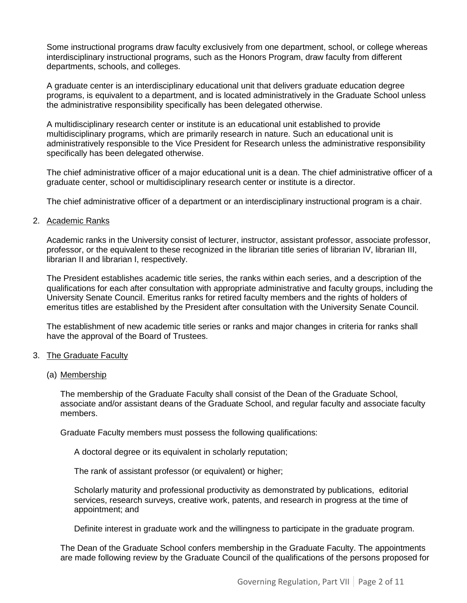Some instructional programs draw faculty exclusively from one department, school, or college whereas interdisciplinary instructional programs, such as the Honors Program, draw faculty from different departments, schools, and colleges.

A graduate center is an interdisciplinary educational unit that delivers graduate education degree programs, is equivalent to a department, and is located administratively in the Graduate School unless the administrative responsibility specifically has been delegated otherwise.

A multidisciplinary research center or institute is an educational unit established to provide multidisciplinary programs, which are primarily research in nature. Such an educational unit is administratively responsible to the Vice President for Research unless the administrative responsibility specifically has been delegated otherwise.

The chief administrative officer of a major educational unit is a dean. The chief administrative officer of a graduate center, school or multidisciplinary research center or institute is a director.

The chief administrative officer of a department or an interdisciplinary instructional program is a chair.

#### 2. Academic Ranks

Academic ranks in the University consist of lecturer, instructor, assistant professor, associate professor, professor, or the equivalent to these recognized in the librarian title series of librarian IV, librarian III, librarian II and librarian I, respectively.

The President establishes academic title series, the ranks within each series, and a description of the qualifications for each after consultation with appropriate administrative and faculty groups, including the University Senate Council. Emeritus ranks for retired faculty members and the rights of holders of emeritus titles are established by the President after consultation with the University Senate Council.

The establishment of new academic title series or ranks and major changes in criteria for ranks shall have the approval of the Board of Trustees.

#### 3. The Graduate Faculty

#### (a) Membership

The membership of the Graduate Faculty shall consist of the Dean of the Graduate School, associate and/or assistant deans of the Graduate School, and regular faculty and associate faculty members.

Graduate Faculty members must possess the following qualifications:

A doctoral degree or its equivalent in scholarly reputation;

The rank of assistant professor (or equivalent) or higher;

Scholarly maturity and professional productivity as demonstrated by publications, editorial services, research surveys, creative work, patents, and research in progress at the time of appointment; and

Definite interest in graduate work and the willingness to participate in the graduate program.

The Dean of the Graduate School confers membership in the Graduate Faculty. The appointments are made following review by the Graduate Council of the qualifications of the persons proposed for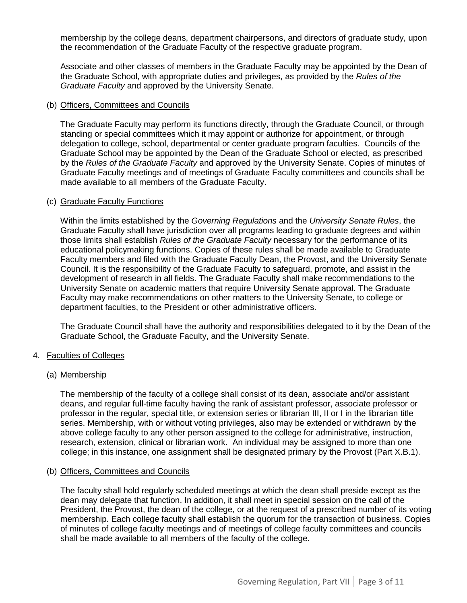membership by the college deans, department chairpersons, and directors of graduate study, upon the recommendation of the Graduate Faculty of the respective graduate program.

Associate and other classes of members in the Graduate Faculty may be appointed by the Dean of the Graduate School, with appropriate duties and privileges, as provided by the *Rules of the Graduate Faculty* and approved by the University Senate.

#### (b) Officers, Committees and Councils

The Graduate Faculty may perform its functions directly, through the Graduate Council, or through standing or special committees which it may appoint or authorize for appointment, or through delegation to college, school, departmental or center graduate program faculties. Councils of the Graduate School may be appointed by the Dean of the Graduate School or elected, as prescribed by the *Rules of the Graduate Faculty* and approved by the University Senate. Copies of minutes of Graduate Faculty meetings and of meetings of Graduate Faculty committees and councils shall be made available to all members of the Graduate Faculty.

#### (c) Graduate Faculty Functions

Within the limits established by the *Governing Regulations* and the *University Senate Rules*, the Graduate Faculty shall have jurisdiction over all programs leading to graduate degrees and within those limits shall establish *Rules of the Graduate Faculty* necessary for the performance of its educational policymaking functions. Copies of these rules shall be made available to Graduate Faculty members and filed with the Graduate Faculty Dean, the Provost, and the University Senate Council. It is the responsibility of the Graduate Faculty to safeguard, promote, and assist in the development of research in all fields. The Graduate Faculty shall make recommendations to the University Senate on academic matters that require University Senate approval. The Graduate Faculty may make recommendations on other matters to the University Senate, to college or department faculties, to the President or other administrative officers.

The Graduate Council shall have the authority and responsibilities delegated to it by the Dean of the Graduate School, the Graduate Faculty, and the University Senate.

#### 4. Faculties of Colleges

#### (a) Membership

The membership of the faculty of a college shall consist of its dean, associate and/or assistant deans, and regular full-time faculty having the rank of assistant professor, associate professor or professor in the regular, special title, or extension series or librarian III, II or I in the librarian title series. Membership, with or without voting privileges, also may be extended or withdrawn by the above college faculty to any other person assigned to the college for administrative, instruction, research, extension, clinical or librarian work. An individual may be assigned to more than one college; in this instance, one assignment shall be designated primary by the Provost (Part X.B.1).

#### (b) Officers, Committees and Councils

The faculty shall hold regularly scheduled meetings at which the dean shall preside except as the dean may delegate that function. In addition, it shall meet in special session on the call of the President, the Provost, the dean of the college, or at the request of a prescribed number of its voting membership. Each college faculty shall establish the quorum for the transaction of business. Copies of minutes of college faculty meetings and of meetings of college faculty committees and councils shall be made available to all members of the faculty of the college.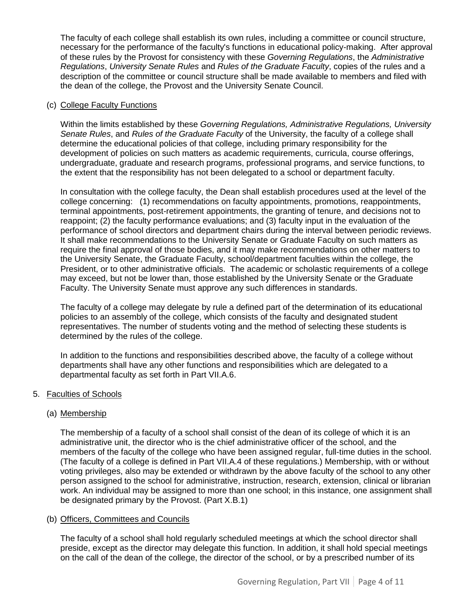The faculty of each college shall establish its own rules, including a committee or council structure, necessary for the performance of the faculty's functions in educational policy-making. After approval of these rules by the Provost for consistency with these *Governing Regulations*, the *Administrative Regulations*, *University Senate Rules* and *Rules of the Graduate Faculty*, copies of the rules and a description of the committee or council structure shall be made available to members and filed with the dean of the college, the Provost and the University Senate Council.

#### (c) College Faculty Functions

Within the limits established by these *Governing Regulations, Administrative Regulations, University Senate Rules*, and *Rules of the Graduate Faculty* of the University, the faculty of a college shall determine the educational policies of that college, including primary responsibility for the development of policies on such matters as academic requirements, curricula, course offerings, undergraduate, graduate and research programs, professional programs, and service functions, to the extent that the responsibility has not been delegated to a school or department faculty.

In consultation with the college faculty, the Dean shall establish procedures used at the level of the college concerning: (1) recommendations on faculty appointments, promotions, reappointments, terminal appointments, post-retirement appointments, the granting of tenure, and decisions not to reappoint; (2) the faculty performance evaluations; and (3) faculty input in the evaluation of the performance of school directors and department chairs during the interval between periodic reviews. It shall make recommendations to the University Senate or Graduate Faculty on such matters as require the final approval of those bodies, and it may make recommendations on other matters to the University Senate, the Graduate Faculty, school/department faculties within the college, the President, or to other administrative officials. The academic or scholastic requirements of a college may exceed, but not be lower than, those established by the University Senate or the Graduate Faculty. The University Senate must approve any such differences in standards.

The faculty of a college may delegate by rule a defined part of the determination of its educational policies to an assembly of the college, which consists of the faculty and designated student representatives. The number of students voting and the method of selecting these students is determined by the rules of the college.

In addition to the functions and responsibilities described above, the faculty of a college without departments shall have any other functions and responsibilities which are delegated to a departmental faculty as set forth in Part VII.A.6.

#### 5. Faculties of Schools

#### (a) Membership

The membership of a faculty of a school shall consist of the dean of its college of which it is an administrative unit, the director who is the chief administrative officer of the school, and the members of the faculty of the college who have been assigned regular, full-time duties in the school. (The faculty of a college is defined in Part VII.A.4 of these regulations.) Membership, with or without voting privileges, also may be extended or withdrawn by the above faculty of the school to any other person assigned to the school for administrative, instruction, research, extension, clinical or librarian work. An individual may be assigned to more than one school; in this instance, one assignment shall be designated primary by the Provost. (Part X.B.1)

#### (b) Officers, Committees and Councils

The faculty of a school shall hold regularly scheduled meetings at which the school director shall preside, except as the director may delegate this function. In addition, it shall hold special meetings on the call of the dean of the college, the director of the school, or by a prescribed number of its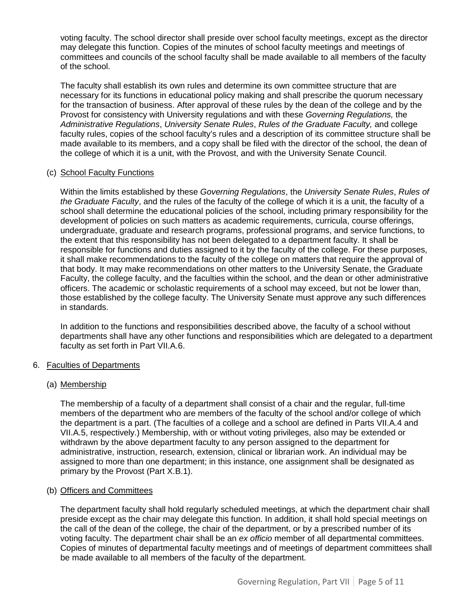voting faculty. The school director shall preside over school faculty meetings, except as the director may delegate this function. Copies of the minutes of school faculty meetings and meetings of committees and councils of the school faculty shall be made available to all members of the faculty of the school.

The faculty shall establish its own rules and determine its own committee structure that are necessary for its functions in educational policy making and shall prescribe the quorum necessary for the transaction of business. After approval of these rules by the dean of the college and by the Provost for consistency with University regulations and with these *Governing Regulations,* the *Administrative Regulations*, *University Senate Rules*, *Rules of the Graduate Faculty,* and college faculty rules, copies of the school faculty's rules and a description of its committee structure shall be made available to its members, and a copy shall be filed with the director of the school, the dean of the college of which it is a unit, with the Provost, and with the University Senate Council.

#### (c) School Faculty Functions

Within the limits established by these *Governing Regulations*, the *University Senate Rules*, *Rules of the Graduate Faculty*, and the rules of the faculty of the college of which it is a unit, the faculty of a school shall determine the educational policies of the school, including primary responsibility for the development of policies on such matters as academic requirements, curricula, course offerings, undergraduate, graduate and research programs, professional programs, and service functions, to the extent that this responsibility has not been delegated to a department faculty. It shall be responsible for functions and duties assigned to it by the faculty of the college. For these purposes, it shall make recommendations to the faculty of the college on matters that require the approval of that body. It may make recommendations on other matters to the University Senate, the Graduate Faculty, the college faculty, and the faculties within the school, and the dean or other administrative officers. The academic or scholastic requirements of a school may exceed, but not be lower than, those established by the college faculty. The University Senate must approve any such differences in standards.

In addition to the functions and responsibilities described above, the faculty of a school without departments shall have any other functions and responsibilities which are delegated to a department faculty as set forth in Part VII.A.6.

#### 6. Faculties of Departments

#### (a) Membership

The membership of a faculty of a department shall consist of a chair and the regular, full-time members of the department who are members of the faculty of the school and/or college of which the department is a part. (The faculties of a college and a school are defined in Parts VII.A.4 and VII.A.5, respectively.) Membership, with or without voting privileges, also may be extended or withdrawn by the above department faculty to any person assigned to the department for administrative, instruction, research, extension, clinical or librarian work. An individual may be assigned to more than one department; in this instance, one assignment shall be designated as primary by the Provost (Part X.B.1).

#### (b) Officers and Committees

The department faculty shall hold regularly scheduled meetings, at which the department chair shall preside except as the chair may delegate this function. In addition, it shall hold special meetings on the call of the dean of the college, the chair of the department, or by a prescribed number of its voting faculty. The department chair shall be an *ex officio* member of all departmental committees. Copies of minutes of departmental faculty meetings and of meetings of department committees shall be made available to all members of the faculty of the department.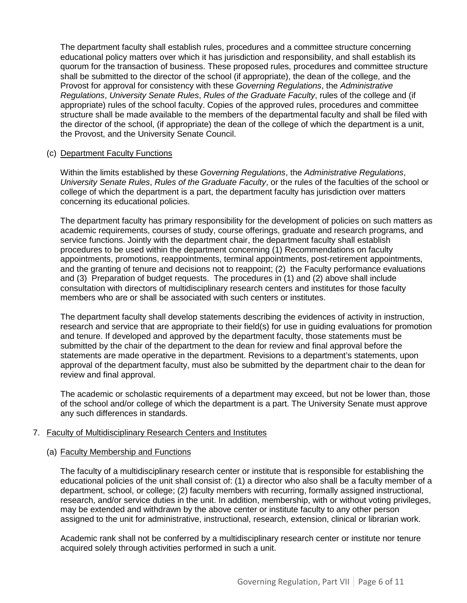The department faculty shall establish rules, procedures and a committee structure concerning educational policy matters over which it has jurisdiction and responsibility, and shall establish its quorum for the transaction of business. These proposed rules, procedures and committee structure shall be submitted to the director of the school (if appropriate), the dean of the college, and the Provost for approval for consistency with these *Governing Regulations*, the *Administrative Regulations*, *University Senate Rules*, *Rules of the Graduate Faculty*, rules of the college and (if appropriate) rules of the school faculty. Copies of the approved rules, procedures and committee structure shall be made available to the members of the departmental faculty and shall be filed with the director of the school, (if appropriate) the dean of the college of which the department is a unit, the Provost, and the University Senate Council.

#### (c) Department Faculty Functions

Within the limits established by these *Governing Regulations*, the *Administrative Regulations*, *University Senate Rules*, *Rules of the Graduate Faculty*, or the rules of the faculties of the school or college of which the department is a part, the department faculty has jurisdiction over matters concerning its educational policies.

The department faculty has primary responsibility for the development of policies on such matters as academic requirements, courses of study, course offerings, graduate and research programs, and service functions. Jointly with the department chair, the department faculty shall establish procedures to be used within the department concerning (1) Recommendations on faculty appointments, promotions, reappointments, terminal appointments, post-retirement appointments, and the granting of tenure and decisions not to reappoint; (2) the Faculty performance evaluations and (3) Preparation of budget requests. The procedures in (1) and (2) above shall include consultation with directors of multidisciplinary research centers and institutes for those faculty members who are or shall be associated with such centers or institutes.

The department faculty shall develop statements describing the evidences of activity in instruction, research and service that are appropriate to their field(s) for use in guiding evaluations for promotion and tenure. If developed and approved by the department faculty, those statements must be submitted by the chair of the department to the dean for review and final approval before the statements are made operative in the department. Revisions to a department's statements, upon approval of the department faculty, must also be submitted by the department chair to the dean for review and final approval.

The academic or scholastic requirements of a department may exceed, but not be lower than, those of the school and/or college of which the department is a part. The University Senate must approve any such differences in standards.

#### 7. Faculty of Multidisciplinary Research Centers and Institutes

#### (a) Faculty Membership and Functions

The faculty of a multidisciplinary research center or institute that is responsible for establishing the educational policies of the unit shall consist of: (1) a director who also shall be a faculty member of a department, school, or college; (2) faculty members with recurring, formally assigned instructional, research, and/or service duties in the unit. In addition, membership, with or without voting privileges, may be extended and withdrawn by the above center or institute faculty to any other person assigned to the unit for administrative, instructional, research, extension, clinical or librarian work.

Academic rank shall not be conferred by a multidisciplinary research center or institute nor tenure acquired solely through activities performed in such a unit.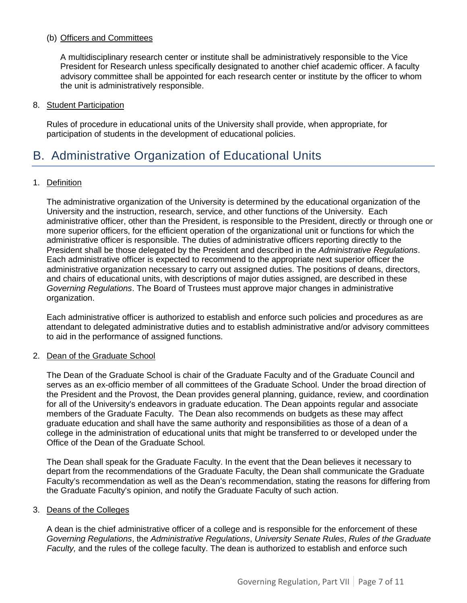#### (b) Officers and Committees

A multidisciplinary research center or institute shall be administratively responsible to the Vice President for Research unless specifically designated to another chief academic officer. A faculty advisory committee shall be appointed for each research center or institute by the officer to whom the unit is administratively responsible.

#### 8. Student Participation

Rules of procedure in educational units of the University shall provide, when appropriate, for participation of students in the development of educational policies.

## <span id="page-6-0"></span>B. Administrative Organization of Educational Units

#### 1. Definition

The administrative organization of the University is determined by the educational organization of the University and the instruction, research, service, and other functions of the University. Each administrative officer, other than the President, is responsible to the President, directly or through one or more superior officers, for the efficient operation of the organizational unit or functions for which the administrative officer is responsible. The duties of administrative officers reporting directly to the President shall be those delegated by the President and described in the *Administrative Regulations*. Each administrative officer is expected to recommend to the appropriate next superior officer the administrative organization necessary to carry out assigned duties. The positions of deans, directors, and chairs of educational units, with descriptions of major duties assigned, are described in these *Governing Regulations*. The Board of Trustees must approve major changes in administrative organization.

Each administrative officer is authorized to establish and enforce such policies and procedures as are attendant to delegated administrative duties and to establish administrative and/or advisory committees to aid in the performance of assigned functions.

#### 2. Dean of the Graduate School

The Dean of the Graduate School is chair of the Graduate Faculty and of the Graduate Council and serves as an ex-officio member of all committees of the Graduate School. Under the broad direction of the President and the Provost, the Dean provides general planning, guidance, review, and coordination for all of the University's endeavors in graduate education. The Dean appoints regular and associate members of the Graduate Faculty. The Dean also recommends on budgets as these may affect graduate education and shall have the same authority and responsibilities as those of a dean of a college in the administration of educational units that might be transferred to or developed under the Office of the Dean of the Graduate School.

The Dean shall speak for the Graduate Faculty. In the event that the Dean believes it necessary to depart from the recommendations of the Graduate Faculty, the Dean shall communicate the Graduate Faculty's recommendation as well as the Dean's recommendation, stating the reasons for differing from the Graduate Faculty's opinion, and notify the Graduate Faculty of such action.

#### 3. Deans of the Colleges

A dean is the chief administrative officer of a college and is responsible for the enforcement of these *Governing Regulations*, the *Administrative Regulations*, *University Senate Rules*, *Rules of the Graduate Faculty,* and the rules of the college faculty. The dean is authorized to establish and enforce such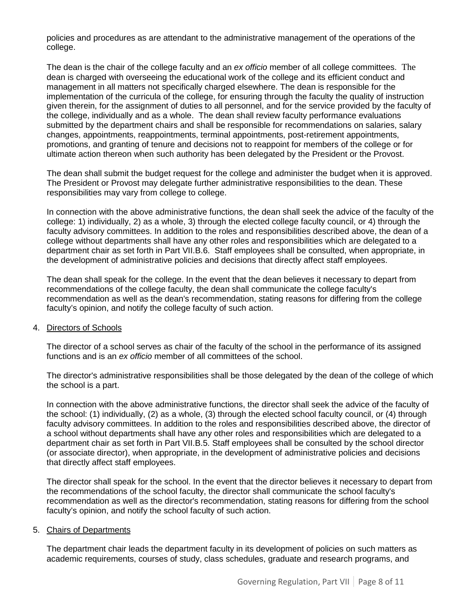policies and procedures as are attendant to the administrative management of the operations of the college.

The dean is the chair of the college faculty and an *ex officio* member of all college committees. The dean is charged with overseeing the educational work of the college and its efficient conduct and management in all matters not specifically charged elsewhere. The dean is responsible for the implementation of the curricula of the college, for ensuring through the faculty the quality of instruction given therein, for the assignment of duties to all personnel, and for the service provided by the faculty of the college, individually and as a whole. The dean shall review faculty performance evaluations submitted by the department chairs and shall be responsible for recommendations on salaries, salary changes, appointments, reappointments, terminal appointments, post-retirement appointments, promotions, and granting of tenure and decisions not to reappoint for members of the college or for ultimate action thereon when such authority has been delegated by the President or the Provost.

The dean shall submit the budget request for the college and administer the budget when it is approved. The President or Provost may delegate further administrative responsibilities to the dean. These responsibilities may vary from college to college.

In connection with the above administrative functions, the dean shall seek the advice of the faculty of the college: 1) individually, 2) as a whole, 3) through the elected college faculty council, or 4) through the faculty advisory committees. In addition to the roles and responsibilities described above, the dean of a college without departments shall have any other roles and responsibilities which are delegated to a department chair as set forth in Part VII.B.6. Staff employees shall be consulted, when appropriate, in the development of administrative policies and decisions that directly affect staff employees.

The dean shall speak for the college. In the event that the dean believes it necessary to depart from recommendations of the college faculty, the dean shall communicate the college faculty's recommendation as well as the dean's recommendation, stating reasons for differing from the college faculty's opinion, and notify the college faculty of such action.

#### 4. Directors of Schools

The director of a school serves as chair of the faculty of the school in the performance of its assigned functions and is an *ex officio* member of all committees of the school.

The director's administrative responsibilities shall be those delegated by the dean of the college of which the school is a part.

In connection with the above administrative functions, the director shall seek the advice of the faculty of the school: (1) individually, (2) as a whole, (3) through the elected school faculty council, or (4) through faculty advisory committees. In addition to the roles and responsibilities described above, the director of a school without departments shall have any other roles and responsibilities which are delegated to a department chair as set forth in Part VII.B.5. Staff employees shall be consulted by the school director (or associate director), when appropriate, in the development of administrative policies and decisions that directly affect staff employees.

The director shall speak for the school. In the event that the director believes it necessary to depart from the recommendations of the school faculty, the director shall communicate the school faculty's recommendation as well as the director's recommendation, stating reasons for differing from the school faculty's opinion, and notify the school faculty of such action.

#### 5. Chairs of Departments

The department chair leads the department faculty in its development of policies on such matters as academic requirements, courses of study, class schedules, graduate and research programs, and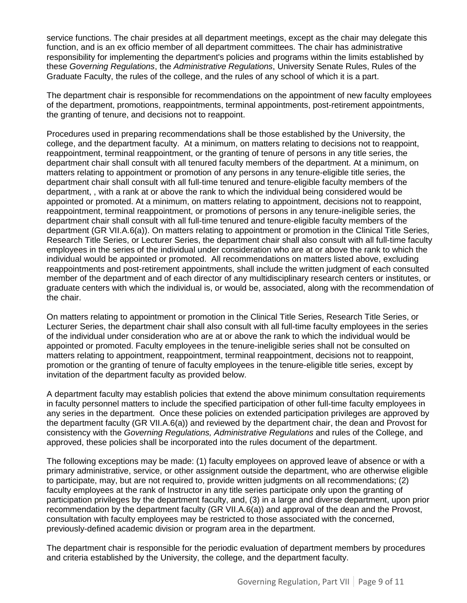service functions. The chair presides at all department meetings, except as the chair may delegate this function, and is an ex officio member of all department committees. The chair has administrative responsibility for implementing the department's policies and programs within the limits established by these *Governing Regulations*, the *Administrative Regulations*, University Senate Rules, Rules of the Graduate Faculty, the rules of the college, and the rules of any school of which it is a part.

The department chair is responsible for recommendations on the appointment of new faculty employees of the department, promotions, reappointments, terminal appointments, post-retirement appointments, the granting of tenure, and decisions not to reappoint.

Procedures used in preparing recommendations shall be those established by the University, the college, and the department faculty. At a minimum, on matters relating to decisions not to reappoint, reappointment, terminal reappointment, or the granting of tenure of persons in any title series, the department chair shall consult with all tenured faculty members of the department. At a minimum, on matters relating to appointment or promotion of any persons in any tenure-eligible title series, the department chair shall consult with all full-time tenured and tenure-eligible faculty members of the department, , with a rank at or above the rank to which the individual being considered would be appointed or promoted. At a minimum, on matters relating to appointment, decisions not to reappoint, reappointment, terminal reappointment, or promotions of persons in any tenure-ineligible series, the department chair shall consult with all full-time tenured and tenure-eligible faculty members of the department (GR VII.A.6(a)). On matters relating to appointment or promotion in the Clinical Title Series, Research Title Series, or Lecturer Series, the department chair shall also consult with all full-time faculty employees in the series of the individual under consideration who are at or above the rank to which the individual would be appointed or promoted. All recommendations on matters listed above, excluding reappointments and post-retirement appointments, shall include the written judgment of each consulted member of the department and of each director of any multidisciplinary research centers or institutes, or graduate centers with which the individual is, or would be, associated, along with the recommendation of the chair.

On matters relating to appointment or promotion in the Clinical Title Series, Research Title Series, or Lecturer Series, the department chair shall also consult with all full-time faculty employees in the series of the individual under consideration who are at or above the rank to which the individual would be appointed or promoted. Faculty employees in the tenure-ineligible series shall not be consulted on matters relating to appointment, reappointment, terminal reappointment, decisions not to reappoint, promotion or the granting of tenure of faculty employees in the tenure-eligible title series, except by invitation of the department faculty as provided below.

A department faculty may establish policies that extend the above minimum consultation requirements in faculty personnel matters to include the specified participation of other full-time faculty employees in any series in the department. Once these policies on extended participation privileges are approved by the department faculty (GR VII.A.6(a)) and reviewed by the department chair, the dean and Provost for consistency with the *Governing Regulations, Administrative Regulations* and rules of the College, and approved, these policies shall be incorporated into the rules document of the department.

The following exceptions may be made: (1) faculty employees on approved leave of absence or with a primary administrative, service, or other assignment outside the department, who are otherwise eligible to participate, may, but are not required to, provide written judgments on all recommendations; (2) faculty employees at the rank of Instructor in any title series participate only upon the granting of participation privileges by the department faculty, and, (3) in a large and diverse department, upon prior recommendation by the department faculty (GR VII.A.6(a)) and approval of the dean and the Provost, consultation with faculty employees may be restricted to those associated with the concerned, previously-defined academic division or program area in the department.

The department chair is responsible for the periodic evaluation of department members by procedures and criteria established by the University, the college, and the department faculty.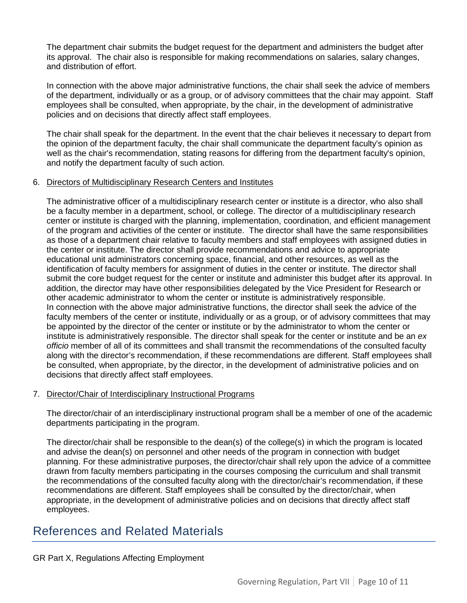The department chair submits the budget request for the department and administers the budget after its approval. The chair also is responsible for making recommendations on salaries, salary changes, and distribution of effort.

In connection with the above major administrative functions, the chair shall seek the advice of members of the department, individually or as a group, or of advisory committees that the chair may appoint. Staff employees shall be consulted, when appropriate, by the chair, in the development of administrative policies and on decisions that directly affect staff employees.

The chair shall speak for the department. In the event that the chair believes it necessary to depart from the opinion of the department faculty, the chair shall communicate the department faculty's opinion as well as the chair's recommendation, stating reasons for differing from the department faculty's opinion, and notify the department faculty of such action.

#### 6. Directors of Multidisciplinary Research Centers and Institutes

The administrative officer of a multidisciplinary research center or institute is a director, who also shall be a faculty member in a department, school, or college. The director of a multidisciplinary research center or institute is charged with the planning, implementation, coordination, and efficient management of the program and activities of the center or institute. The director shall have the same responsibilities as those of a department chair relative to faculty members and staff employees with assigned duties in the center or institute. The director shall provide recommendations and advice to appropriate educational unit administrators concerning space, financial, and other resources, as well as the identification of faculty members for assignment of duties in the center or institute. The director shall submit the core budget request for the center or institute and administer this budget after its approval. In addition, the director may have other responsibilities delegated by the Vice President for Research or other academic administrator to whom the center or institute is administratively responsible. In connection with the above major administrative functions, the director shall seek the advice of the faculty members of the center or institute, individually or as a group, or of advisory committees that may be appointed by the director of the center or institute or by the administrator to whom the center or institute is administratively responsible. The director shall speak for the center or institute and be an *ex officio* member of all of its committees and shall transmit the recommendations of the consulted faculty along with the director's recommendation, if these recommendations are different. Staff employees shall be consulted, when appropriate, by the director, in the development of administrative policies and on decisions that directly affect staff employees.

#### 7. Director/Chair of Interdisciplinary Instructional Programs

The director/chair of an interdisciplinary instructional program shall be a member of one of the academic departments participating in the program.

The director/chair shall be responsible to the dean(s) of the college(s) in which the program is located and advise the dean(s) on personnel and other needs of the program in connection with budget planning. For these administrative purposes, the director/chair shall rely upon the advice of a committee drawn from faculty members participating in the courses composing the curriculum and shall transmit the recommendations of the consulted faculty along with the director/chair's recommendation, if these recommendations are different. Staff employees shall be consulted by the director/chair, when appropriate, in the development of administrative policies and on decisions that directly affect staff employees.

## References and Related Materials

#### GR Part X, Regulations Affecting Employment